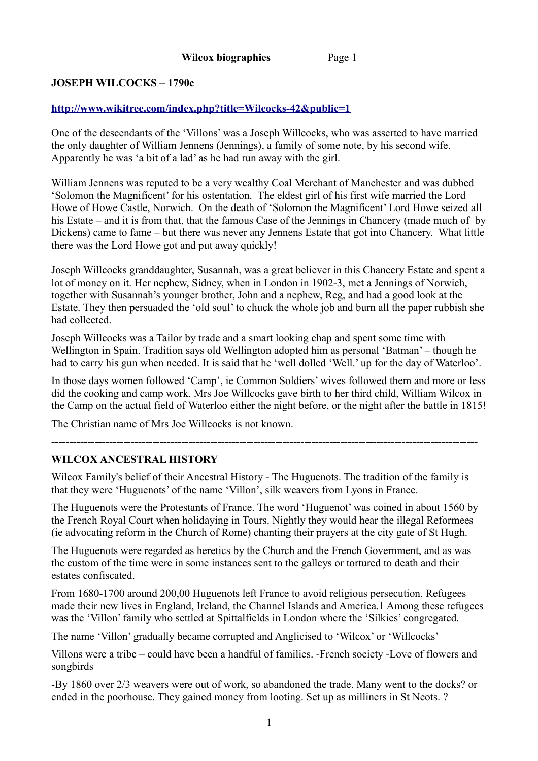# **JOSEPH WILCOCKS – 1790c**

# **<http://www.wikitree.com/index.php?title=Wilcocks-42&public=1>**

One of the descendants of the 'Villons' was a Joseph Willcocks, who was asserted to have married the only daughter of William Jennens (Jennings), a family of some note, by his second wife. Apparently he was 'a bit of a lad' as he had run away with the girl.

William Jennens was reputed to be a very wealthy Coal Merchant of Manchester and was dubbed 'Solomon the Magnificent' for his ostentation. The eldest girl of his first wife married the Lord Howe of Howe Castle, Norwich. On the death of 'Solomon the Magnificent' Lord Howe seized all his Estate – and it is from that, that the famous Case of the Jennings in Chancery (made much of by Dickens) came to fame – but there was never any Jennens Estate that got into Chancery. What little there was the Lord Howe got and put away quickly!

Joseph Willcocks granddaughter, Susannah, was a great believer in this Chancery Estate and spent a lot of money on it. Her nephew, Sidney, when in London in 1902-3, met a Jennings of Norwich, together with Susannah's younger brother, John and a nephew, Reg, and had a good look at the Estate. They then persuaded the 'old soul' to chuck the whole job and burn all the paper rubbish she had collected.

Joseph Willcocks was a Tailor by trade and a smart looking chap and spent some time with Wellington in Spain. Tradition says old Wellington adopted him as personal 'Batman' – though he had to carry his gun when needed. It is said that he 'well dolled 'Well.' up for the day of Waterloo'.

In those days women followed 'Camp', ie Common Soldiers' wives followed them and more or less did the cooking and camp work. Mrs Joe Willcocks gave birth to her third child, William Wilcox in the Camp on the actual field of Waterloo either the night before, or the night after the battle in 1815!

The Christian name of Mrs Joe Willcocks is not known.

### **WILCOX ANCESTRAL HISTORY**

Wilcox Family's belief of their Ancestral History - The Huguenots. The tradition of the family is that they were 'Huguenots' of the name 'Villon', silk weavers from Lyons in France.

**----------------------------------------------------------------------------------------------------------------------**

The Huguenots were the Protestants of France. The word 'Huguenot' was coined in about 1560 by the French Royal Court when holidaying in Tours. Nightly they would hear the illegal Reformees (ie advocating reform in the Church of Rome) chanting their prayers at the city gate of St Hugh.

The Huguenots were regarded as heretics by the Church and the French Government, and as was the custom of the time were in some instances sent to the galleys or tortured to death and their estates confiscated.

From 1680-1700 around 200,00 Huguenots left France to avoid religious persecution. Refugees made their new lives in England, Ireland, the Channel Islands and America.1 Among these refugees was the 'Villon' family who settled at Spittalfields in London where the 'Silkies' congregated.

The name 'Villon' gradually became corrupted and Anglicised to 'Wilcox' or 'Willcocks'

Villons were a tribe – could have been a handful of families. -French society -Love of flowers and songbirds

-By 1860 over 2/3 weavers were out of work, so abandoned the trade. Many went to the docks? or ended in the poorhouse. They gained money from looting. Set up as milliners in St Neots. ?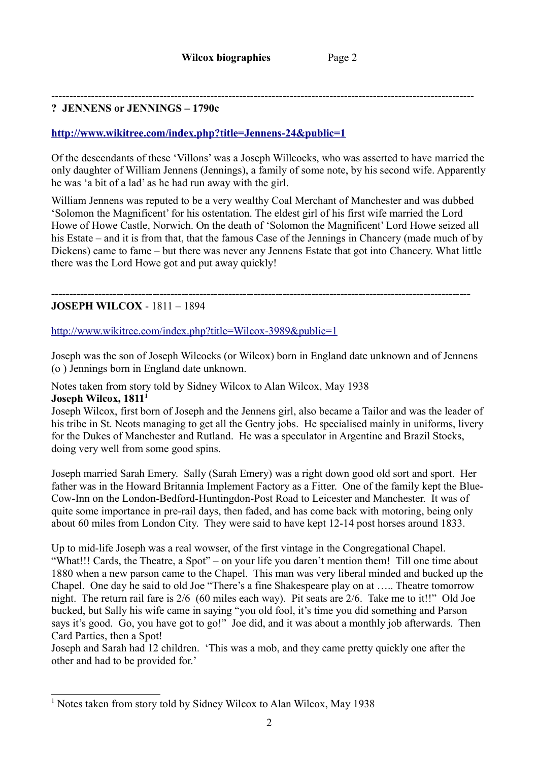#### --------------------------------------------------------------------------------------------------------------------- **? JENNENS or JENNINGS – 1790c**

#### **<http://www.wikitree.com/index.php?title=Jennens-24&public=1>**

Of the descendants of these 'Villons' was a Joseph Willcocks, who was asserted to have married the only daughter of William Jennens (Jennings), a family of some note, by his second wife. Apparently he was 'a bit of a lad' as he had run away with the girl.

William Jennens was reputed to be a very wealthy Coal Merchant of Manchester and was dubbed 'Solomon the Magnificent' for his ostentation. The eldest girl of his first wife married the Lord Howe of Howe Castle, Norwich. On the death of 'Solomon the Magnificent' Lord Howe seized all his Estate – and it is from that, that the famous Case of the Jennings in Chancery (made much of by Dickens) came to fame – but there was never any Jennens Estate that got into Chancery. What little there was the Lord Howe got and put away quickly!

### **JOSEPH WILCOX** - 1811 – 1894

<http://www.wikitree.com/index.php?title=Wilcox-3989&public=1>

Joseph was the son of Joseph Wilcocks (or Wilcox) born in England date unknown and of Jennens (o ) Jennings born in England date unknown.

**--------------------------------------------------------------------------------------------------------------------**

Notes taken from story told by Sidney Wilcox to Alan Wilcox, May 1938

#### **Joseph Wilcox, 1811[1](#page-1-0)**

Joseph Wilcox, first born of Joseph and the Jennens girl, also became a Tailor and was the leader of his tribe in St. Neots managing to get all the Gentry jobs. He specialised mainly in uniforms, livery for the Dukes of Manchester and Rutland. He was a speculator in Argentine and Brazil Stocks, doing very well from some good spins.

Joseph married Sarah Emery. Sally (Sarah Emery) was a right down good old sort and sport. Her father was in the Howard Britannia Implement Factory as a Fitter. One of the family kept the Blue-Cow-Inn on the London-Bedford-Huntingdon-Post Road to Leicester and Manchester. It was of quite some importance in pre-rail days, then faded, and has come back with motoring, being only about 60 miles from London City. They were said to have kept 12-14 post horses around 1833.

Up to mid-life Joseph was a real wowser, of the first vintage in the Congregational Chapel. "What!!! Cards, the Theatre, a Spot" – on your life you daren't mention them! Till one time about 1880 when a new parson came to the Chapel. This man was very liberal minded and bucked up the Chapel. One day he said to old Joe "There's a fine Shakespeare play on at ….. Theatre tomorrow night. The return rail fare is 2/6 (60 miles each way). Pit seats are 2/6. Take me to it!!" Old Joe bucked, but Sally his wife came in saying "you old fool, it's time you did something and Parson says it's good. Go, you have got to go!" Joe did, and it was about a monthly job afterwards. Then Card Parties, then a Spot!

Joseph and Sarah had 12 children. 'This was a mob, and they came pretty quickly one after the other and had to be provided for.'

<span id="page-1-0"></span><sup>&</sup>lt;sup>1</sup> Notes taken from story told by Sidney Wilcox to Alan Wilcox, May 1938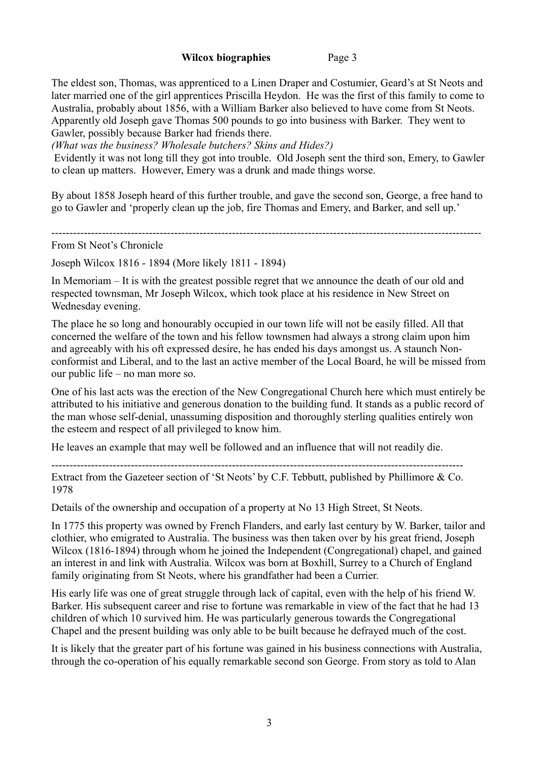The eldest son, Thomas, was apprenticed to a Linen Draper and Costumier, Geard's at St Neots and later married one of the girl apprentices Priscilla Heydon. He was the first of this family to come to Australia, probably about 1856, with a William Barker also believed to have come from St Neots. Apparently old Joseph gave Thomas 500 pounds to go into business with Barker. They went to Gawler, possibly because Barker had friends there.

*(What was the business? Wholesale butchers? Skins and Hides?)*

Evidently it was not long till they got into trouble. Old Joseph sent the third son, Emery, to Gawler to clean up matters. However, Emery was a drunk and made things worse.

By about 1858 Joseph heard of this further trouble, and gave the second son, George, a free hand to go to Gawler and 'properly clean up the job, fire Thomas and Emery, and Barker, and sell up.'

-----------------------------------------------------------------------------------------------------------------------

From St Neot's Chronicle

Joseph Wilcox 1816 - 1894 (More likely 1811 - 1894)

In Memoriam – It is with the greatest possible regret that we announce the death of our old and respected townsman, Mr Joseph Wilcox, which took place at his residence in New Street on Wednesday evening.

The place he so long and honourably occupied in our town life will not be easily filled. All that concerned the welfare of the town and his fellow townsmen had always a strong claim upon him and agreeably with his oft expressed desire, he has ended his days amongst us. A staunch Nonconformist and Liberal, and to the last an active member of the Local Board, he will be missed from our public life – no man more so.

One of his last acts was the erection of the New Congregational Church here which must entirely be attributed to his initiative and generous donation to the building fund. It stands as a public record of the man whose self-denial, unassuming disposition and thoroughly sterling qualities entirely won the esteem and respect of all privileged to know him.

He leaves an example that may well be followed and an influence that will not readily die.

------------------------------------------------------------------------------------------------------------------

Extract from the Gazeteer section of 'St Neots' by C.F. Tebbutt, published by Phillimore & Co. 1978

Details of the ownership and occupation of a property at No 13 High Street, St Neots.

In 1775 this property was owned by French Flanders, and early last century by W. Barker, tailor and clothier, who emigrated to Australia. The business was then taken over by his great friend, Joseph Wilcox (1816-1894) through whom he joined the Independent (Congregational) chapel, and gained an interest in and link with Australia. Wilcox was born at Boxhill, Surrey to a Church of England family originating from St Neots, where his grandfather had been a Currier.

His early life was one of great struggle through lack of capital, even with the help of his friend W. Barker. His subsequent career and rise to fortune was remarkable in view of the fact that he had 13 children of which 10 survived him. He was particularly generous towards the Congregational Chapel and the present building was only able to be built because he defrayed much of the cost.

It is likely that the greater part of his fortune was gained in his business connections with Australia, through the co-operation of his equally remarkable second son George. From story as told to Alan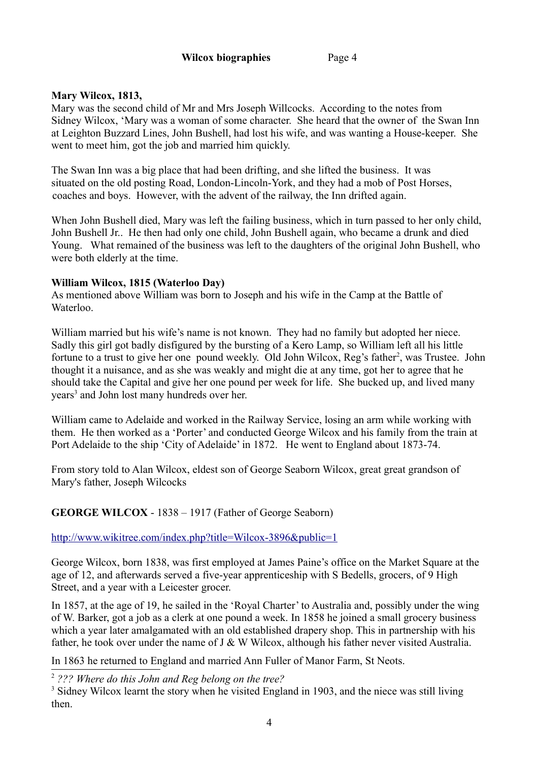# **Mary Wilcox, 1813,**

Mary was the second child of Mr and Mrs Joseph Willcocks. According to the notes from Sidney Wilcox, 'Mary was a woman of some character. She heard that the owner of the Swan Inn at Leighton Buzzard Lines, John Bushell, had lost his wife, and was wanting a House-keeper. She went to meet him, got the job and married him quickly.

The Swan Inn was a big place that had been drifting, and she lifted the business. It was situated on the old posting Road, London-Lincoln-York, and they had a mob of Post Horses, coaches and boys. However, with the advent of the railway, the Inn drifted again.

When John Bushell died, Mary was left the failing business, which in turn passed to her only child, John Bushell Jr.. He then had only one child, John Bushell again, who became a drunk and died Young. What remained of the business was left to the daughters of the original John Bushell, who were both elderly at the time.

### **William Wilcox, 1815 (Waterloo Day)**

As mentioned above William was born to Joseph and his wife in the Camp at the Battle of Waterloo.

William married but his wife's name is not known. They had no family but adopted her niece. Sadly this girl got badly disfigured by the bursting of a Kero Lamp, so William left all his little fortune to a trust to give her one pound weekly. Old John Wilcox, Reg's father<sup>[2](#page-3-0)</sup>, was Trustee. John thought it a nuisance, and as she was weakly and might die at any time, got her to agree that he should take the Capital and give her one pound per week for life. She bucked up, and lived many years<sup>[3](#page-3-1)</sup> and John lost many hundreds over her.

William came to Adelaide and worked in the Railway Service, losing an arm while working with them. He then worked as a 'Porter' and conducted George Wilcox and his family from the train at Port Adelaide to the ship 'City of Adelaide' in 1872. He went to England about 1873-74.

From story told to Alan Wilcox, eldest son of George Seaborn Wilcox, great great grandson of Mary's father, Joseph Wilcocks

# **GEORGE WILCOX** - 1838 – 1917 (Father of George Seaborn)

<http://www.wikitree.com/index.php?title=Wilcox-3896&public=1>

George Wilcox, born 1838, was first employed at James Paine's office on the Market Square at the age of 12, and afterwards served a five-year apprenticeship with S Bedells, grocers, of 9 High Street, and a year with a Leicester grocer.

In 1857, at the age of 19, he sailed in the 'Royal Charter' to Australia and, possibly under the wing of W. Barker, got a job as a clerk at one pound a week. In 1858 he joined a small grocery business which a year later amalgamated with an old established drapery shop. This in partnership with his father, he took over under the name of J & W Wilcox, although his father never visited Australia.

In 1863 he returned to England and married Ann Fuller of Manor Farm, St Neots.

<span id="page-3-0"></span><sup>2</sup> *??? Where do this John and Reg belong on the tree?*

<span id="page-3-1"></span><sup>&</sup>lt;sup>3</sup> Sidney Wilcox learnt the story when he visited England in 1903, and the niece was still living then.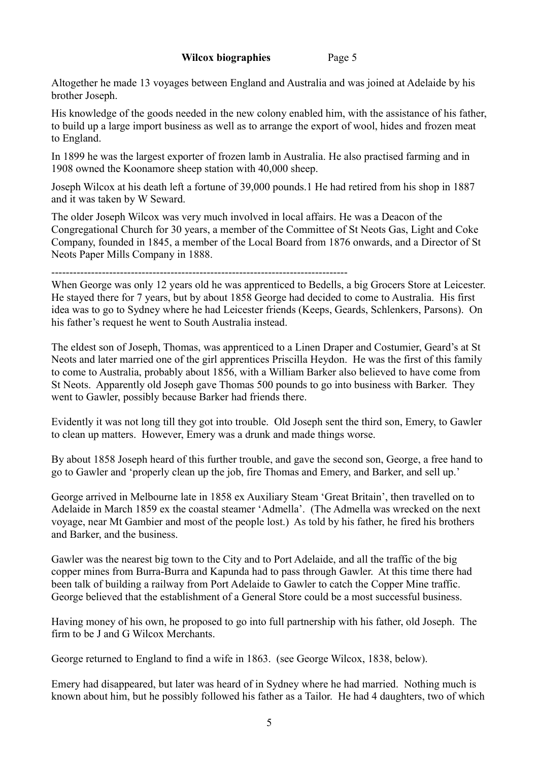Altogether he made 13 voyages between England and Australia and was joined at Adelaide by his brother Joseph.

His knowledge of the goods needed in the new colony enabled him, with the assistance of his father, to build up a large import business as well as to arrange the export of wool, hides and frozen meat to England.

In 1899 he was the largest exporter of frozen lamb in Australia. He also practised farming and in 1908 owned the Koonamore sheep station with 40,000 sheep.

Joseph Wilcox at his death left a fortune of 39,000 pounds.1 He had retired from his shop in 1887 and it was taken by W Seward.

The older Joseph Wilcox was very much involved in local affairs. He was a Deacon of the Congregational Church for 30 years, a member of the Committee of St Neots Gas, Light and Coke Company, founded in 1845, a member of the Local Board from 1876 onwards, and a Director of St Neots Paper Mills Company in 1888.

----------------------------------------------------------------------------------

When George was only 12 years old he was apprenticed to Bedells, a big Grocers Store at Leicester. He stayed there for 7 years, but by about 1858 George had decided to come to Australia. His first idea was to go to Sydney where he had Leicester friends (Keeps, Geards, Schlenkers, Parsons). On his father's request he went to South Australia instead.

The eldest son of Joseph, Thomas, was apprenticed to a Linen Draper and Costumier, Geard's at St Neots and later married one of the girl apprentices Priscilla Heydon. He was the first of this family to come to Australia, probably about 1856, with a William Barker also believed to have come from St Neots. Apparently old Joseph gave Thomas 500 pounds to go into business with Barker. They went to Gawler, possibly because Barker had friends there.

Evidently it was not long till they got into trouble. Old Joseph sent the third son, Emery, to Gawler to clean up matters. However, Emery was a drunk and made things worse.

By about 1858 Joseph heard of this further trouble, and gave the second son, George, a free hand to go to Gawler and 'properly clean up the job, fire Thomas and Emery, and Barker, and sell up.'

George arrived in Melbourne late in 1858 ex Auxiliary Steam 'Great Britain', then travelled on to Adelaide in March 1859 ex the coastal steamer 'Admella'. (The Admella was wrecked on the next voyage, near Mt Gambier and most of the people lost.) As told by his father, he fired his brothers and Barker, and the business.

Gawler was the nearest big town to the City and to Port Adelaide, and all the traffic of the big copper mines from Burra-Burra and Kapunda had to pass through Gawler. At this time there had been talk of building a railway from Port Adelaide to Gawler to catch the Copper Mine traffic. George believed that the establishment of a General Store could be a most successful business.

Having money of his own, he proposed to go into full partnership with his father, old Joseph. The firm to be J and G Wilcox Merchants.

George returned to England to find a wife in 1863. (see George Wilcox, 1838, below).

Emery had disappeared, but later was heard of in Sydney where he had married. Nothing much is known about him, but he possibly followed his father as a Tailor. He had 4 daughters, two of which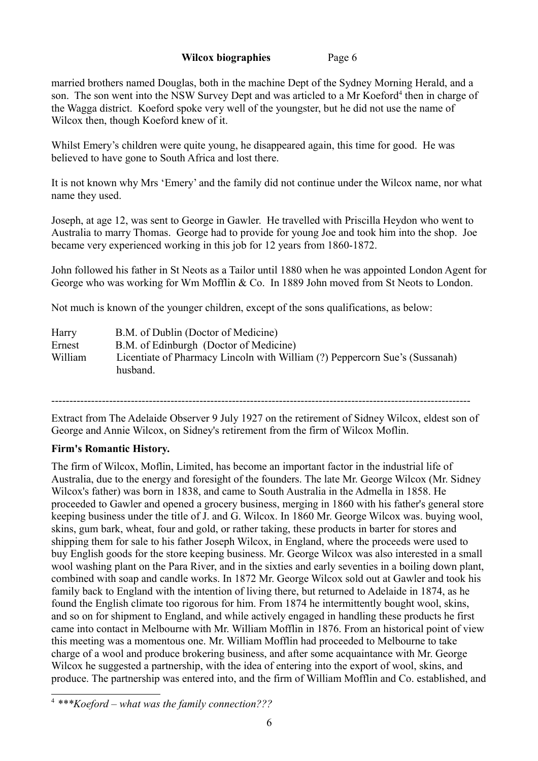married brothers named Douglas, both in the machine Dept of the Sydney Morning Herald, and a son. The son went into the NSW Survey Dept and was articled to a Mr Koeford<sup>[4](#page-5-0)</sup> then in charge of the Wagga district. Koeford spoke very well of the youngster, but he did not use the name of Wilcox then, though Koeford knew of it.

Whilst Emery's children were quite young, he disappeared again, this time for good. He was believed to have gone to South Africa and lost there.

It is not known why Mrs 'Emery' and the family did not continue under the Wilcox name, nor what name they used.

Joseph, at age 12, was sent to George in Gawler. He travelled with Priscilla Heydon who went to Australia to marry Thomas. George had to provide for young Joe and took him into the shop. Joe became very experienced working in this job for 12 years from 1860-1872.

John followed his father in St Neots as a Tailor until 1880 when he was appointed London Agent for George who was working for Wm Mofflin & Co. In 1889 John moved from St Neots to London.

Not much is known of the younger children, except of the sons qualifications, as below:

| Harry   | B.M. of Dublin (Doctor of Medicine)                                                     |
|---------|-----------------------------------------------------------------------------------------|
| Ernest  | B.M. of Edinburgh (Doctor of Medicine)                                                  |
| William | Licentiate of Pharmacy Lincoln with William (?) Peppercorn Sue's (Sussanah)<br>husband. |

--------------------------------------------------------------------------------------------------------------------

Extract from The Adelaide Observer 9 July 1927 on the retirement of Sidney Wilcox, eldest son of George and Annie Wilcox, on Sidney's retirement from the firm of Wilcox Moflin.

### **Firm's Romantic History.**

The firm of Wilcox, Moflin, Limited, has become an important factor in the industrial life of Australia, due to the energy and foresight of the founders. The late Mr. George Wilcox (Mr. Sidney Wilcox's father) was born in 1838, and came to South Australia in the Admella in 1858. He proceeded to Gawler and opened a grocery business, merging in 1860 with his father's general store keeping business under the title of J. and G. Wilcox. In 1860 Mr. George Wilcox was. buying wool, skins, gum bark, wheat, four and gold, or rather taking, these products in barter for stores and shipping them for sale to his father Joseph Wilcox, in England, where the proceeds were used to buy English goods for the store keeping business. Mr. George Wilcox was also interested in a small wool washing plant on the Para River, and in the sixties and early seventies in a boiling down plant, combined with soap and candle works. In 1872 Mr. George Wilcox sold out at Gawler and took his family back to England with the intention of living there, but returned to Adelaide in 1874, as he found the English climate too rigorous for him. From 1874 he intermittently bought wool, skins, and so on for shipment to England, and while actively engaged in handling these products he first came into contact in Melbourne with Mr. William Mofflin in 1876. From an historical point of view this meeting was a momentous one. Mr. William Mofflin had proceeded to Melbourne to take charge of a wool and produce brokering business, and after some acquaintance with Mr. George Wilcox he suggested a partnership, with the idea of entering into the export of wool, skins, and produce. The partnership was entered into, and the firm of William Mofflin and Co. established, and

<span id="page-5-0"></span><sup>4</sup> *\*\*\*Koeford – what was the family connection???*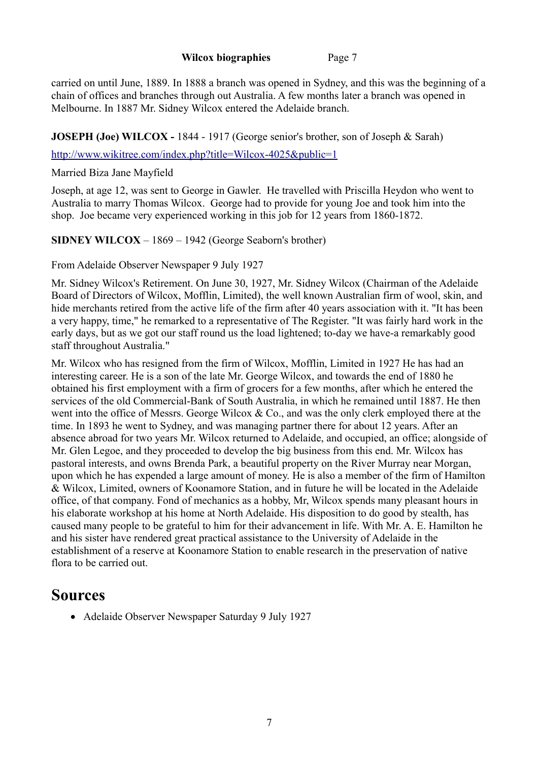carried on until June, 1889. In 1888 a branch was opened in Sydney, and this was the beginning of a chain of offices and branches through out Australia. A few months later a branch was opened in Melbourne. In 1887 Mr. Sidney Wilcox entered the Adelaide branch.

# **JOSEPH (Joe) WILCOX - 1844 - 1917 (George senior's brother, son of Joseph & Sarah)**

<http://www.wikitree.com/index.php?title=Wilcox-4025&public=1>

Married Biza Jane Mayfield

Joseph, at age 12, was sent to George in Gawler. He travelled with Priscilla Heydon who went to Australia to marry Thomas Wilcox. George had to provide for young Joe and took him into the shop. Joe became very experienced working in this job for 12 years from 1860-1872.

**SIDNEY WILCOX** – 1869 – 1942 (George Seaborn's brother)

From Adelaide Observer Newspaper 9 July 1927

Mr. Sidney Wilcox's Retirement. On June 30, 1927, Mr. Sidney Wilcox (Chairman of the Adelaide Board of Directors of Wilcox, Mofflin, Limited), the well known Australian firm of wool, skin, and hide merchants retired from the active life of the firm after 40 years association with it. "It has been a very happy, time," he remarked to a representative of The Register. "It was fairly hard work in the early days, but as we got our staff round us the load lightened; to-day we have-a remarkably good staff throughout Australia."

Mr. Wilcox who has resigned from the firm of Wilcox, Mofflin, Limited in 1927 He has had an interesting career. He is a son of the late Mr. George Wilcox, and towards the end of 1880 he obtained his first employment with a firm of grocers for a few months, after which he entered the services of the old Commercial-Bank of South Australia, in which he remained until 1887. He then went into the office of Messrs. George Wilcox & Co., and was the only clerk employed there at the time. In 1893 he went to Sydney, and was managing partner there for about 12 years. After an absence abroad for two years Mr. Wilcox returned to Adelaide, and occupied, an office; alongside of Mr. Glen Legoe, and they proceeded to develop the big business from this end. Mr. Wilcox has pastoral interests, and owns Brenda Park, a beautiful property on the River Murray near Morgan, upon which he has expended a large amount of money. He is also a member of the firm of Hamilton & Wilcox, Limited, owners of Koonamore Station, and in future he will be located in the Adelaide office, of that company. Fond of mechanics as a hobby, Mr, Wilcox spends many pleasant hours in his elaborate workshop at his home at North Adelaide. His disposition to do good by stealth, has caused many people to be grateful to him for their advancement in life. With Mr. A. E. Hamilton he and his sister have rendered great practical assistance to the University of Adelaide in the establishment of a reserve at Koonamore Station to enable research in the preservation of native flora to be carried out.

# **Sources**

• Adelaide Observer Newspaper Saturday 9 July 1927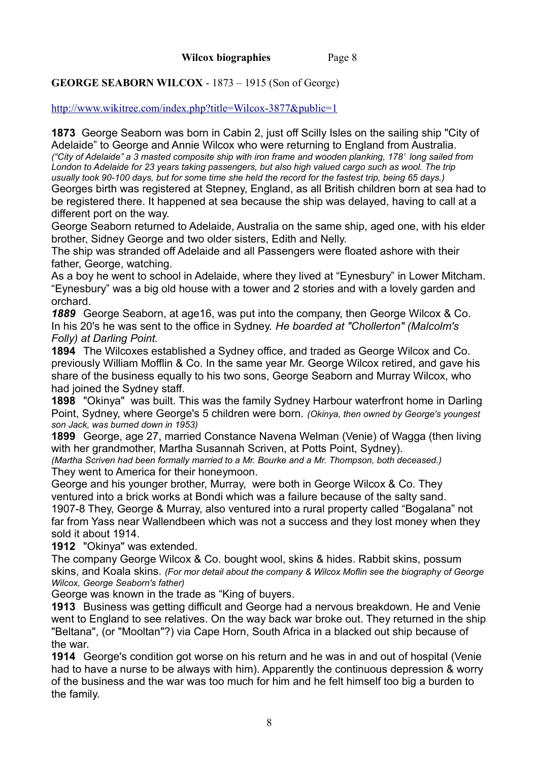# **GEORGE SEABORN WILCOX** - 1873 – 1915 (Son of George)

<http://www.wikitree.com/index.php?title=Wilcox-3877&public=1>

**1873** George Seaborn was born in Cabin 2, just off Scilly Isles on the sailing ship "City of Adelaide" to George and Annie Wilcox who were returning to England from Australia. *("City of Adelaide" a 3 masted composite ship with iron frame and wooden planking, 178' long sailed from London to Adelaide for 23 years taking passengers, but also high valued cargo such as wool. The trip usually took 90-100 days, but for some time she held the record for the fastest trip, being 65 days.)* Georges birth was registered at Stepney, England, as all British children born at sea had to be registered there. It happened at sea because the ship was delayed, having to call at a different port on the way.

George Seaborn returned to Adelaide, Australia on the same ship, aged one, with his elder brother, Sidney George and two older sisters, Edith and Nelly.

The ship was stranded off Adelaide and all Passengers were floated ashore with their father, George, watching.

As a boy he went to school in Adelaide, where they lived at "Eynesbury" in Lower Mitcham. "Eynesbury" was a big old house with a tower and 2 stories and with a lovely garden and orchard.

*1889* George Seaborn, at age16, was put into the company, then George Wilcox & Co. In his 20's he was sent to the office in Sydney. *He boarded at "Chollerton" (Malcolm's Folly) at Darling Point.*

**1894** The Wilcoxes established a Sydney office, and traded as George Wilcox and Co. previously William Mofflin & Co. In the same year Mr. George Wilcox retired, and gave his share of the business equally to his two sons, George Seaborn and Murray Wilcox, who had joined the Sydney staff.

**1898** "Okinya" was built. This was the family Sydney Harbour waterfront home in Darling Point, Sydney, where George's 5 children were born. *(Okinya, then owned by George's youngest son Jack, was burned down in 1953)*

**1899** George, age 27, married Constance Navena Welman (Venie) of Wagga (then living with her grandmother, Martha Susannah Scriven, at Potts Point, Sydney).

*(Martha Scriven had been formally married to a Mr. Bourke and a Mr. Thompson, both deceased.)*  They went to America for their honeymoon.

George and his younger brother, Murray, were both in George Wilcox & Co. They ventured into a brick works at Bondi which was a failure because of the salty sand.

1907-8 They, George & Murray, also ventured into a rural property called "Bogalana" not far from Yass near Wallendbeen which was not a success and they lost money when they sold it about 1914.

**1912** "Okinya" was extended.

The company George Wilcox & Co. bought wool, skins & hides. Rabbit skins, possum skins, and Koala skins. *(For mor detail about the company & Wilcox Moflin see the biography of George Wilcox, George Seaborn's father)*

George was known in the trade as "King of buyers.

**1913** Business was getting difficult and George had a nervous breakdown. He and Venie went to England to see relatives. On the way back war broke out. They returned in the ship "Beltana", (or "Mooltan"?) via Cape Horn, South Africa in a blacked out ship because of the war.

**1914** George's condition got worse on his return and he was in and out of hospital (Venie had to have a nurse to be always with him). Apparently the continuous depression & worry of the business and the war was too much for him and he felt himself too big a burden to the family.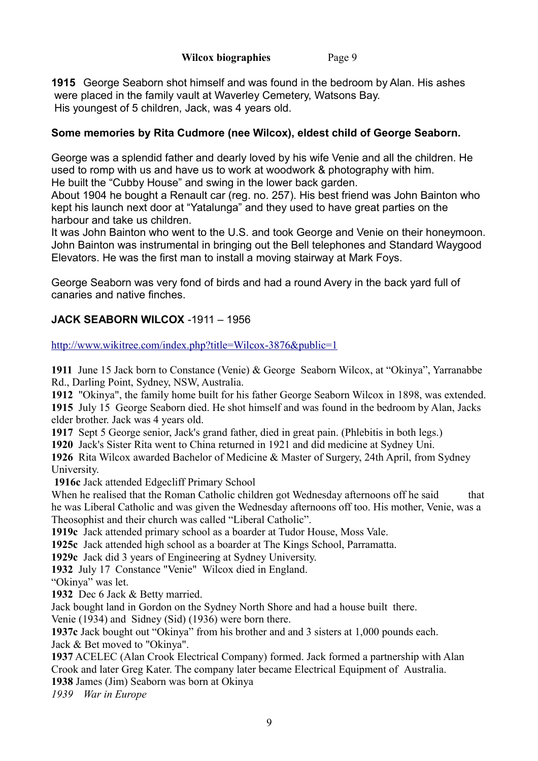**1915** George Seaborn shot himself and was found in the bedroom by Alan. His ashes were placed in the family vault at Waverley Cemetery, Watsons Bay. His youngest of 5 children, Jack, was 4 years old.

# **Some memories by Rita Cudmore (nee Wilcox), eldest child of George Seaborn.**

George was a splendid father and dearly loved by his wife Venie and all the children. He used to romp with us and have us to work at woodwork & photography with him. He built the "Cubby House" and swing in the lower back garden.

About 1904 he bought a Renault car (reg. no. 257). His best friend was John Bainton who kept his launch next door at "Yatalunga" and they used to have great parties on the harbour and take us children.

It was John Bainton who went to the U.S. and took George and Venie on their honeymoon. John Bainton was instrumental in bringing out the Bell telephones and Standard Waygood Elevators. He was the first man to install a moving stairway at Mark Foys.

George Seaborn was very fond of birds and had a round Avery in the back yard full of canaries and native finches.

# **JACK SEABORN WILCOX** -1911 – 1956

<http://www.wikitree.com/index.php?title=Wilcox-3876&public=1>

**1911** June 15 Jack born to Constance (Venie) & George Seaborn Wilcox, at "Okinya", Yarranabbe Rd., Darling Point, Sydney, NSW, Australia.

**1912** "Okinya", the family home built for his father George Seaborn Wilcox in 1898, was extended.

**1915** July 15 George Seaborn died. He shot himself and was found in the bedroom by Alan, Jacks elder brother. Jack was 4 years old.

**1917** Sept 5 George senior, Jack's grand father, died in great pain. (Phlebitis in both legs.)

**1920** Jack's Sister Rita went to China returned in 1921 and did medicine at Sydney Uni.

**1926** Rita Wilcox awarded Bachelor of Medicine & Master of Surgery, 24th April, from Sydney University.

**1916c** Jack attended Edgecliff Primary School

When he realised that the Roman Catholic children got Wednesday afternoons off he said that he was Liberal Catholic and was given the Wednesday afternoons off too. His mother, Venie, was a Theosophist and their church was called "Liberal Catholic".

**1919c** Jack attended primary school as a boarder at Tudor House, Moss Vale.

**1925c** Jack attended high school as a boarder at The Kings School, Parramatta.

**1929c** Jack did 3 years of Engineering at Sydney University.

**1932** July 17 Constance "Venie" Wilcox died in England.

"Okinya" was let.

**1932** Dec 6 Jack & Betty married.

Jack bought land in Gordon on the Sydney North Shore and had a house built there.

Venie (1934) and Sidney (Sid) (1936) were born there.

**1937c** Jack bought out "Okinya" from his brother and and 3 sisters at 1,000 pounds each.

Jack & Bet moved to "Okinya".

**1937** ACELEC (Alan Crook Electrical Company) formed. Jack formed a partnership with Alan Crook and later Greg Kater. The company later became Electrical Equipment of Australia.

**1938** James (Jim) Seaborn was born at Okinya

*1939 War in Europe*